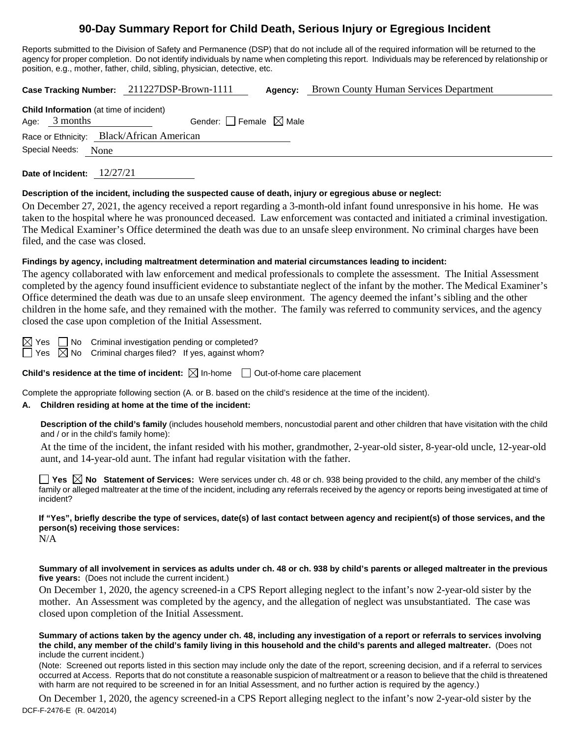# **90-Day Summary Report for Child Death, Serious Injury or Egregious Incident**

Reports submitted to the Division of Safety and Permanence (DSP) that do not include all of the required information will be returned to the agency for proper completion. Do not identify individuals by name when completing this report. Individuals may be referenced by relationship or position, e.g., mother, father, child, sibling, physician, detective, etc.

**Case Tracking Number:** 211227DSP-Brown-1111 **Agency:** Brown County Human Services Department

|                                           | <b>Child Information</b> (at time of incident) |  |  |  |
|-------------------------------------------|------------------------------------------------|--|--|--|
| Age: $3$ months                           | Gender: $\Box$ Female $\boxtimes$ Male         |  |  |  |
| Race or Ethnicity: Black/African American |                                                |  |  |  |
| Special Needs:<br>None                    |                                                |  |  |  |
|                                           |                                                |  |  |  |

**Date of Incident:** 12/27/21

#### **Description of the incident, including the suspected cause of death, injury or egregious abuse or neglect:**

On December 27, 2021, the agency received a report regarding a 3-month-old infant found unresponsive in his home. He was taken to the hospital where he was pronounced deceased. Law enforcement was contacted and initiated a criminal investigation. The Medical Examiner's Office determined the death was due to an unsafe sleep environment. No criminal charges have been filed, and the case was closed.

#### **Findings by agency, including maltreatment determination and material circumstances leading to incident:**

The agency collaborated with law enforcement and medical professionals to complete the assessment. The Initial Assessment completed by the agency found insufficient evidence to substantiate neglect of the infant by the mother. The Medical Examiner's Office determined the death was due to an unsafe sleep environment. The agency deemed the infant's sibling and the other children in the home safe, and they remained with the mother. The family was referred to community services, and the agency closed the case upon completion of the Initial Assessment.

 $\boxtimes$  Yes  $\Box$  No Criminal investigation pending or completed?  $\Box$  Yes  $\boxtimes$  No Criminal charges filed? If yes, against whom?

**Child's residence at the time of incident:**  $\boxtimes$  In-home  $\Box$  Out-of-home care placement

Complete the appropriate following section (A. or B. based on the child's residence at the time of the incident).

# **A. Children residing at home at the time of the incident:**

**Description of the child's family** (includes household members, noncustodial parent and other children that have visitation with the child and / or in the child's family home):

At the time of the incident, the infant resided with his mother, grandmother, 2-year-old sister, 8-year-old uncle, 12-year-old aunt, and 14-year-old aunt. The infant had regular visitation with the father.

**Yes No Statement of Services:** Were services under ch. 48 or ch. 938 being provided to the child, any member of the child's family or alleged maltreater at the time of the incident, including any referrals received by the agency or reports being investigated at time of incident?

**If "Yes", briefly describe the type of services, date(s) of last contact between agency and recipient(s) of those services, and the person(s) receiving those services:** N/A

**Summary of all involvement in services as adults under ch. 48 or ch. 938 by child's parents or alleged maltreater in the previous five years:** (Does not include the current incident.)

On December 1, 2020, the agency screened-in a CPS Report alleging neglect to the infant's now 2-year-old sister by the mother. An Assessment was completed by the agency, and the allegation of neglect was unsubstantiated. The case was closed upon completion of the Initial Assessment.

**Summary of actions taken by the agency under ch. 48, including any investigation of a report or referrals to services involving the child, any member of the child's family living in this household and the child's parents and alleged maltreater.** (Does not include the current incident.)

(Note: Screened out reports listed in this section may include only the date of the report, screening decision, and if a referral to services occurred at Access. Reports that do not constitute a reasonable suspicion of maltreatment or a reason to believe that the child is threatened with harm are not required to be screened in for an Initial Assessment, and no further action is required by the agency.)

DCF-F-2476-E (R. 04/2014) On December 1, 2020, the agency screened-in a CPS Report alleging neglect to the infant's now 2-year-old sister by the